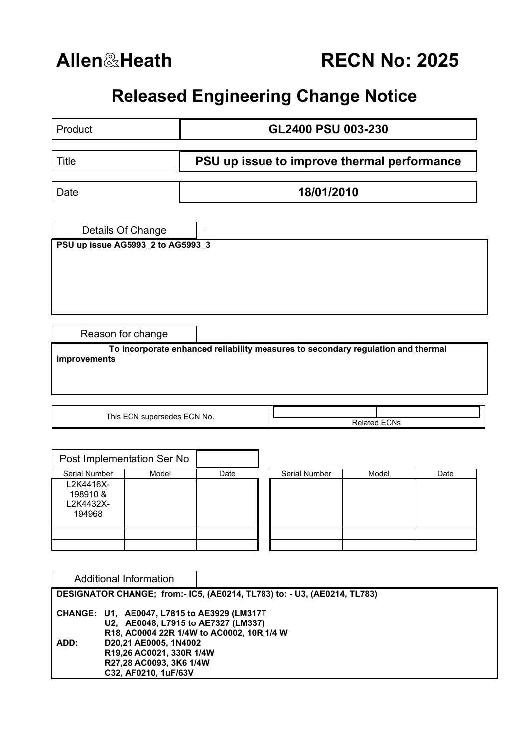**Allen**&**Heath RECN No: 2025**

## **Released Engineering Change Notice**

| Product                           | GL2400 PSU 003-230                                                               |  |  |  |  |
|-----------------------------------|----------------------------------------------------------------------------------|--|--|--|--|
|                                   |                                                                                  |  |  |  |  |
| <b>Title</b>                      | PSU up issue to improve thermal performance                                      |  |  |  |  |
| Date                              | 18/01/2010                                                                       |  |  |  |  |
|                                   |                                                                                  |  |  |  |  |
| Details Of Change                 |                                                                                  |  |  |  |  |
| PSU up issue AG5993_2 to AG5993_3 |                                                                                  |  |  |  |  |
|                                   |                                                                                  |  |  |  |  |
|                                   |                                                                                  |  |  |  |  |
|                                   |                                                                                  |  |  |  |  |
|                                   |                                                                                  |  |  |  |  |
|                                   |                                                                                  |  |  |  |  |
| Reason for change                 |                                                                                  |  |  |  |  |
| improvements                      | To incorporate enhanced reliability measures to secondary regulation and thermal |  |  |  |  |
|                                   |                                                                                  |  |  |  |  |
|                                   |                                                                                  |  |  |  |  |
|                                   |                                                                                  |  |  |  |  |
| This ECN supersedes ECN No.       |                                                                                  |  |  |  |  |
|                                   | <b>Related ECNs</b>                                                              |  |  |  |  |

| Post Implementation Ser No                   |       |      |               |       |      |
|----------------------------------------------|-------|------|---------------|-------|------|
| Serial Number                                | Model | Date | Serial Number | Model | Date |
| L2K4416X-<br>198910 &<br>L2K4432X-<br>194968 |       |      |               |       |      |
|                                              |       |      |               |       |      |
|                                              |       |      |               |       |      |

| Serial Number | Model | Date |
|---------------|-------|------|
|               |       |      |
|               |       |      |
|               |       |      |
|               |       |      |
|               |       |      |
|               |       |      |
|               |       |      |
|               |       |      |

|                                                                                                                                                                                                                                                  | Additional Information |  |  |  |  |  |  |  |
|--------------------------------------------------------------------------------------------------------------------------------------------------------------------------------------------------------------------------------------------------|------------------------|--|--|--|--|--|--|--|
| DESIGNATOR CHANGE; from:- IC5, (AE0214, TL783) to: - U3, (AE0214, TL783)                                                                                                                                                                         |                        |  |  |  |  |  |  |  |
| CHANGE: U1, AE0047, L7815 to AE3929 (LM317T<br>U2, AE0048, L7915 to AE7327 (LM337)<br>R18, AC0004 22R 1/4W to AC0002, 10R, 1/4 W<br>D20,21 AE0005, 1N4002<br>ADD:<br>R19,26 AC0021, 330R 1/4W<br>R27,28 AC0093, 3K6 1/4W<br>C32, AF0210, 1uF/63V |                        |  |  |  |  |  |  |  |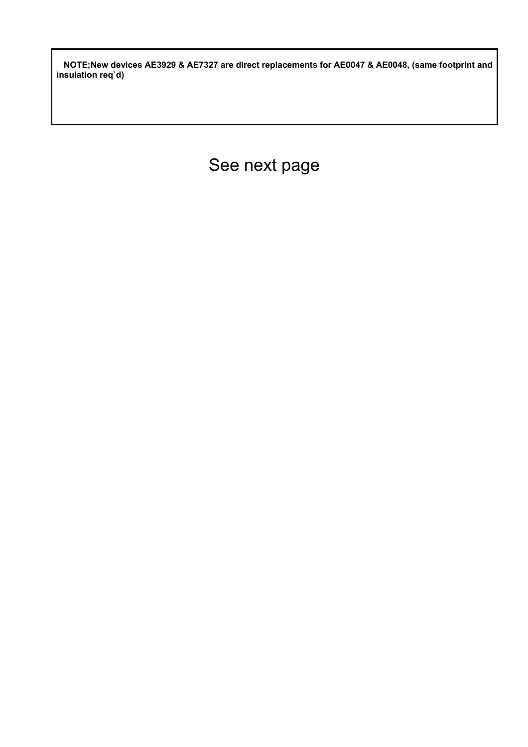**NOTE;New devices AE3929 & AE7327 are direct replacements for AE0047 & AE0048, (same footprint and insulation req`d)** 

See next page